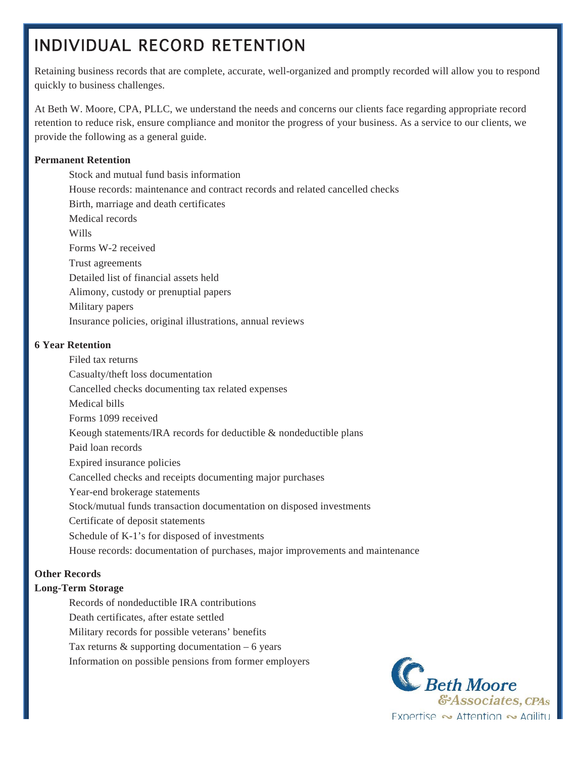# INDIVIDUAL RECORD RETENTION

Retaining business records that are complete, accurate, well-organized and promptly recorded will allow you to respond quickly to business challenges.

At Beth W. Moore, CPA, PLLC, we understand the needs and concerns our clients face regarding appropriate record retention to reduce risk, ensure compliance and monitor the progress of your business. As a service to our clients, we provide the following as a general guide.

### **Permanent Retention**

 Stock and mutual fund basis information House records: maintenance and contract records and related cancelled checks Birth, marriage and death certificates Medical records Wills Forms W-2 received Trust agreements Detailed list of financial assets held Alimony, custody or prenuptial papers Military papers Insurance policies, original illustrations, annual reviews

### **6 Year Retention**

 Filed tax returns Casualty/theft loss documentation Cancelled checks documenting tax related expenses Medical bills Forms 1099 received Keough statements/IRA records for deductible & nondeductible plans Paid loan records Expired insurance policies Cancelled checks and receipts documenting major purchases Year-end brokerage statements Stock/mutual funds transaction documentation on disposed investments Certificate of deposit statements Schedule of K-1's for disposed of investments House records: documentation of purchases, major improvements and maintenance

## **Other Records**

## **Long-Term Storage**

Records of nondeductible IRA contributions

Death certificates, after estate settled

Military records for possible veterans' benefits

Tax returns  $&$  supporting documentation – 6 years

Information on possible pensions from former employers